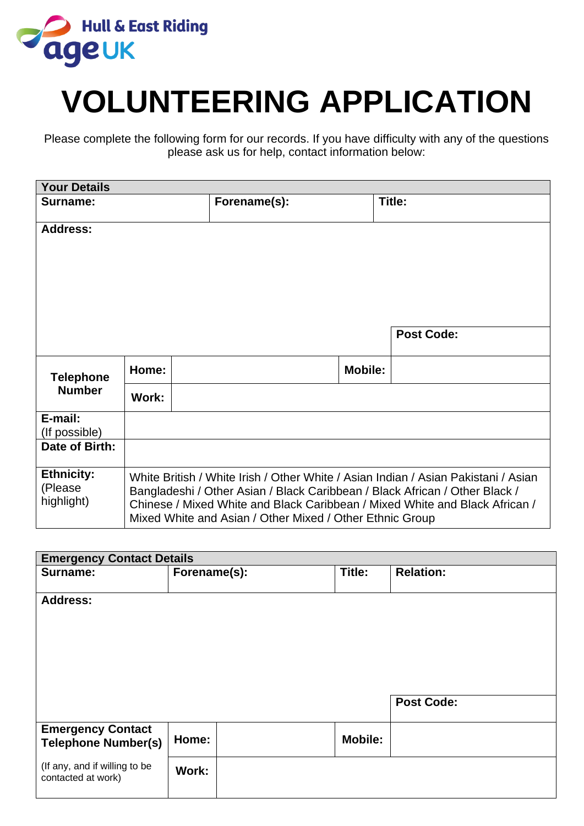

# **VOLUNTEERING APPLICATION**

Please complete the following form for our records. If you have difficulty with any of the questions please ask us for help, contact information below:

| <b>Your Details</b>                        |                                                                                                                                                                                                                                                                                                              |  |              |                |                   |
|--------------------------------------------|--------------------------------------------------------------------------------------------------------------------------------------------------------------------------------------------------------------------------------------------------------------------------------------------------------------|--|--------------|----------------|-------------------|
| Surname:                                   |                                                                                                                                                                                                                                                                                                              |  | Forename(s): |                | Title:            |
| <b>Address:</b>                            |                                                                                                                                                                                                                                                                                                              |  |              |                |                   |
|                                            |                                                                                                                                                                                                                                                                                                              |  |              |                | <b>Post Code:</b> |
| <b>Telephone</b><br><b>Number</b>          | Home:                                                                                                                                                                                                                                                                                                        |  |              | <b>Mobile:</b> |                   |
|                                            | Work:                                                                                                                                                                                                                                                                                                        |  |              |                |                   |
| E-mail:<br>(If possible)                   |                                                                                                                                                                                                                                                                                                              |  |              |                |                   |
| Date of Birth:                             |                                                                                                                                                                                                                                                                                                              |  |              |                |                   |
| <b>Ethnicity:</b><br>(Please<br>highlight) | White British / White Irish / Other White / Asian Indian / Asian Pakistani / Asian<br>Bangladeshi / Other Asian / Black Caribbean / Black African / Other Black /<br>Chinese / Mixed White and Black Caribbean / Mixed White and Black African /<br>Mixed White and Asian / Other Mixed / Other Ethnic Group |  |              |                |                   |

| <b>Emergency Contact Details</b>                    |              |  |                |                   |  |
|-----------------------------------------------------|--------------|--|----------------|-------------------|--|
| Surname:                                            | Forename(s): |  | Title:         | <b>Relation:</b>  |  |
|                                                     |              |  |                |                   |  |
| <b>Address:</b>                                     |              |  |                |                   |  |
|                                                     |              |  |                |                   |  |
|                                                     |              |  |                |                   |  |
|                                                     |              |  |                |                   |  |
|                                                     |              |  |                |                   |  |
|                                                     |              |  |                |                   |  |
|                                                     |              |  |                | <b>Post Code:</b> |  |
|                                                     |              |  |                |                   |  |
| <b>Emergency Contact</b>                            |              |  |                |                   |  |
| <b>Telephone Number(s)</b>                          | Home:        |  | <b>Mobile:</b> |                   |  |
|                                                     |              |  |                |                   |  |
| (If any, and if willing to be<br>contacted at work) | Work:        |  |                |                   |  |
|                                                     |              |  |                |                   |  |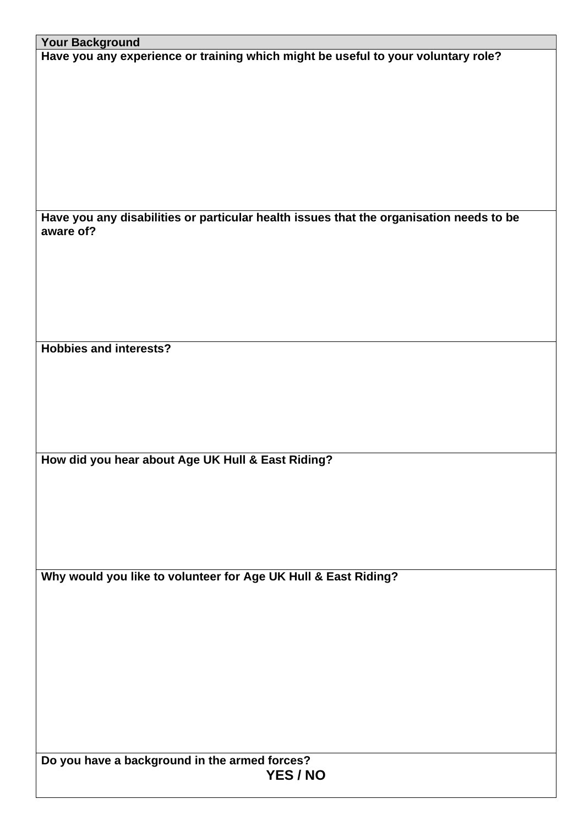| <b>Your Background</b>                                                                  |
|-----------------------------------------------------------------------------------------|
| Have you any experience or training which might be useful to your voluntary role?       |
|                                                                                         |
|                                                                                         |
|                                                                                         |
|                                                                                         |
|                                                                                         |
|                                                                                         |
|                                                                                         |
|                                                                                         |
|                                                                                         |
|                                                                                         |
|                                                                                         |
|                                                                                         |
|                                                                                         |
| Have you any disabilities or particular health issues that the organisation needs to be |
| aware of?                                                                               |
|                                                                                         |
|                                                                                         |
|                                                                                         |
|                                                                                         |
|                                                                                         |
|                                                                                         |
|                                                                                         |
|                                                                                         |
|                                                                                         |
| <b>Hobbies and interests?</b>                                                           |
|                                                                                         |
|                                                                                         |
|                                                                                         |
|                                                                                         |
|                                                                                         |
|                                                                                         |
|                                                                                         |
|                                                                                         |
|                                                                                         |
| How did you hear about Age UK Hull & East Riding?                                       |
|                                                                                         |
|                                                                                         |
|                                                                                         |
|                                                                                         |
|                                                                                         |
|                                                                                         |
|                                                                                         |
|                                                                                         |
|                                                                                         |
| Why would you like to volunteer for Age UK Hull & East Riding?                          |
|                                                                                         |
|                                                                                         |
|                                                                                         |
|                                                                                         |
|                                                                                         |
|                                                                                         |
|                                                                                         |
|                                                                                         |
|                                                                                         |
|                                                                                         |
|                                                                                         |
|                                                                                         |
|                                                                                         |
|                                                                                         |
|                                                                                         |
| Do you have a background in the armed forces?                                           |
| YES / NO                                                                                |
|                                                                                         |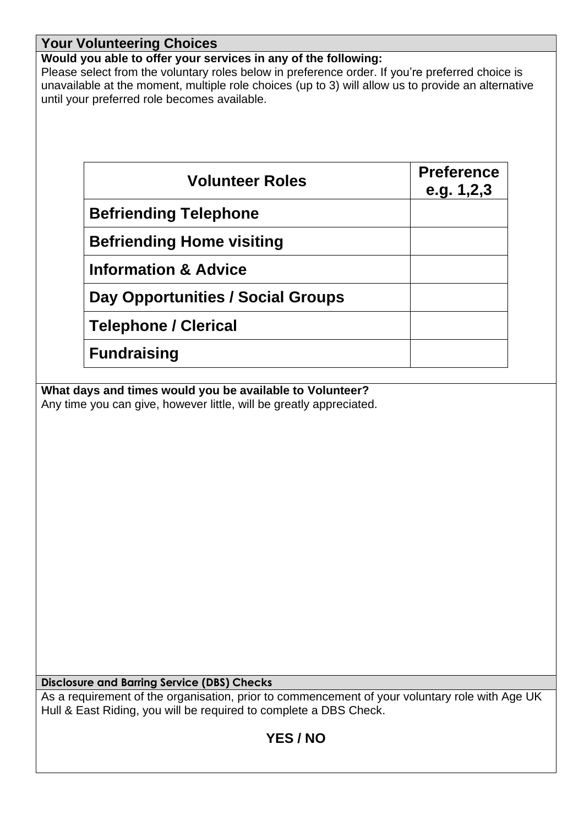## **Your Volunteering Choices**

## **Would you able to offer your services in any of the following:**

Please select from the voluntary roles below in preference order. If you're preferred choice is unavailable at the moment, multiple role choices (up to 3) will allow us to provide an alternative until your preferred role becomes available.

| <b>Volunteer Roles</b>            | <b>Preference</b><br>e.g. $1,2,3$ |
|-----------------------------------|-----------------------------------|
| <b>Befriending Telephone</b>      |                                   |
| <b>Befriending Home visiting</b>  |                                   |
| <b>Information &amp; Advice</b>   |                                   |
| Day Opportunities / Social Groups |                                   |
| <b>Telephone / Clerical</b>       |                                   |
| <b>Fundraising</b>                |                                   |

**What days and times would you be available to Volunteer?** Any time you can give, however little, will be greatly appreciated.

**Disclosure and Barring Service (DBS) Checks**

As a requirement of the organisation, prior to commencement of your voluntary role with Age UK Hull & East Riding, you will be required to complete a DBS Check.

# **YES / NO**